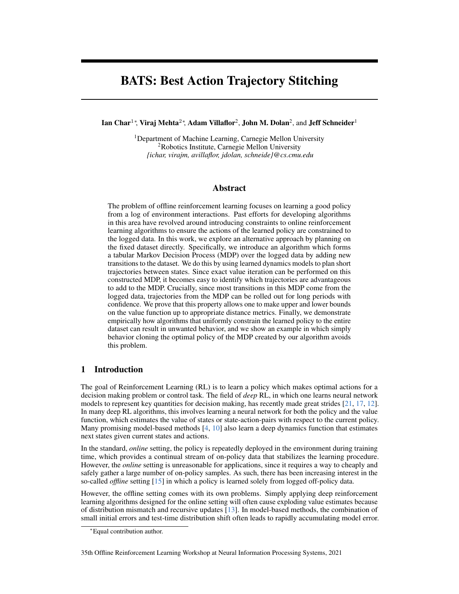# BATS: Best Action Trajectory Stitching

Ian Char<sup>1</sup>\*, Viraj Mehta<sup>2</sup>\*, Adam Villaflor<sup>2</sup>, John M. Dolan<sup>2</sup>, and Jeff Schneider<sup>1</sup>

<sup>1</sup>Department of Machine Learning, Carnegie Mellon University <sup>2</sup>Robotics Institute, Carnegie Mellon University *{ichar, virajm, avillaflor, jdolan, schneide}@cs.cmu.edu*

### Abstract

The problem of offline reinforcement learning focuses on learning a good policy from a log of environment interactions. Past efforts for developing algorithms in this area have revolved around introducing constraints to online reinforcement learning algorithms to ensure the actions of the learned policy are constrained to the logged data. In this work, we explore an alternative approach by planning on the fixed dataset directly. Specifically, we introduce an algorithm which forms a tabular Markov Decision Process (MDP) over the logged data by adding new transitions to the dataset. We do this by using learned dynamics models to plan short trajectories between states. Since exact value iteration can be performed on this constructed MDP, it becomes easy to identify which trajectories are advantageous to add to the MDP. Crucially, since most transitions in this MDP come from the logged data, trajectories from the MDP can be rolled out for long periods with confidence. We prove that this property allows one to make upper and lower bounds on the value function up to appropriate distance metrics. Finally, we demonstrate empirically how algorithms that uniformly constrain the learned policy to the entire dataset can result in unwanted behavior, and we show an example in which simply behavior cloning the optimal policy of the MDP created by our algorithm avoids this problem.

# 1 Introduction

The goal of Reinforcement Learning (RL) is to learn a policy which makes optimal actions for a decision making problem or control task. The field of *deep* RL, in which one learns neural network models to represent key quantities for decision making, has recently made great strides [\[21,](#page-9-0) [17,](#page-9-1) [12\]](#page-9-2). In many deep RL algorithms, this involves learning a neural network for both the policy and the value function, which estimates the value of states or state-action-pairs with respect to the current policy. Many promising model-based methods  $[4, 10]$  $[4, 10]$  $[4, 10]$  also learn a deep dynamics function that estimates next states given current states and actions.

In the standard, *online* setting, the policy is repeatedly deployed in the environment during training time, which provides a continual stream of on-policy data that stabilizes the learning procedure. However, the *online* setting is unreasonable for applications, since it requires a way to cheaply and safely gather a large number of on-policy samples. As such, there has been increasing interest in the so-called *offline* setting [\[15\]](#page-9-5) in which a policy is learned solely from logged off-policy data.

However, the offline setting comes with its own problems. Simply applying deep reinforcement learning algorithms designed for the online setting will often cause exploding value estimates because of distribution mismatch and recursive updates [\[13\]](#page-9-6). In model-based methods, the combination of small initial errors and test-time distribution shift often leads to rapidly accumulating model error.

<sup>∗</sup>Equal contribution author.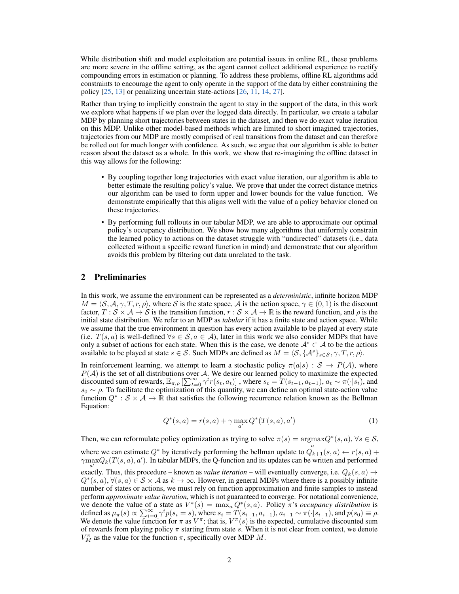While distribution shift and model exploitation are potential issues in online RL, these problems are more severe in the offline setting, as the agent cannot collect additional experience to rectify compounding errors in estimation or planning. To address these problems, offline RL algorithms add constraints to encourage the agent to only operate in the support of the data by either constraining the policy [\[25,](#page-10-0) [13\]](#page-9-6) or penalizing uncertain state-actions [\[26,](#page-10-1) [11,](#page-9-7) [14,](#page-9-8) [27\]](#page-10-2).

Rather than trying to implicitly constrain the agent to stay in the support of the data, in this work we explore what happens if we plan over the logged data directly. In particular, we create a tabular MDP by planning short trajectories between states in the dataset, and then we do exact value iteration on this MDP. Unlike other model-based methods which are limited to short imagined trajectories, trajectories from our MDP are mostly comprised of real transitions from the dataset and can therefore be rolled out for much longer with confidence. As such, we argue that our algorithm is able to better reason about the dataset as a whole. In this work, we show that re-imagining the offline dataset in this way allows for the following:

- By coupling together long trajectories with exact value iteration, our algorithm is able to better estimate the resulting policy's value. We prove that under the correct distance metrics our algorithm can be used to form upper and lower bounds for the value function. We demonstrate empirically that this aligns well with the value of a policy behavior cloned on these trajectories.
- By performing full rollouts in our tabular MDP, we are able to approximate our optimal policy's occupancy distribution. We show how many algorithms that uniformly constrain the learned policy to actions on the dataset struggle with "undirected" datasets (i.e., data collected without a specific reward function in mind) and demonstrate that our algorithm avoids this problem by filtering out data unrelated to the task.

### <span id="page-1-0"></span>2 Preliminaries

In this work, we assume the environment can be represented as a *deterministic*, infinite horizon MDP  $M = \langle S, A, \gamma, T, r, \rho \rangle$ , where S is the state space, A is the action space,  $\gamma \in (0, 1)$  is the discount factor,  $T : S \times A \to S$  is the transition function,  $r : S \times A \to \mathbb{R}$  is the reward function, and  $\rho$  is the initial state distribution. We refer to an MDP as *tabular* if it has a finite state and action space. While we assume that the true environment in question has every action available to be played at every state (i.e.  $T(s, a)$  is well-defined  $\forall s \in S, a \in A$ ), later in this work we also consider MDPs that have only a subset of actions for each state. When this is the case, we denote  $A<sup>s</sup> \subset A$  to be the actions available to be played at state  $s \in S$ . Such MDPs are defined as  $M = \langle S, \{A^s\}_{s \in S}, \gamma, T, r, \rho \rangle$ .

In reinforcement learning, we attempt to learn a stochastic policy  $\pi(a|s) : S \to P(A)$ , where  $P(\mathcal{A})$  is the set of all distributions over A. We desire our learned policy to maximize the expected discounted sum of rewards,  $\mathbb{E}_{\pi,\rho}$   $[\sum_{t=0}^{\infty} \gamma^t r(s_t, a_t)]$ , where  $s_t = T(s_{t-1}, a_{t-1}), a_t \sim \pi(\cdot|s_t)$ , and  $s_0 \sim \rho$ . To facilitate the optimization of this quantity, we can define an optimal state-action value function  $Q^* : \mathcal{S} \times \mathcal{A} \to \mathbb{R}$  that satisfies the following recurrence relation known as the Bellman Equation:

$$
Q^*(s, a) = r(s, a) + \gamma \max_{a'} Q^*(T(s, a), a')
$$
 (1)

Then, we can reformulate policy optimization as trying to solve  $\pi(s) = \underset{a}{\operatorname{argmax}} Q^*(s, a)$ ,  $\forall s \in S$ ,

where we can estimate  $Q^*$  by iteratively performing the bellman update to  $Q_{k+1}(s, a) \leftarrow r(s, a) +$  $\gamma \max_{a'} Q_k(T(s, a), a')$ . In tabular MDPs, the Q-function and its updates can be written and performed exactly. Thus, this procedure – known as *value iteration* – will eventually converge, i.e.  $Q_k(s, a) \rightarrow$  $Q^*(s, a)$ ,  $\forall (s, a) \in S \times A$  as  $k \to \infty$ . However, in general MDPs where there is a possibly infinite number of states or actions, we must rely on function approximation and finite samples to instead perform *approximate value iteration*, which is not guaranteed to converge. For notational convenience, we denote the value of a state as  $V^*(s) = \max_a Q^*(s, a)$ . Policy  $\pi$ 's *occupancy distribution* is defined as  $\mu_{\pi}(s) \propto \sum_{i=0}^{\infty} \gamma^{i} p(s_i = s)$ , where  $s_i = T(s_{i-1}, a_{i-1})$ ,  $a_{i-1} \sim \pi(\cdot|s_{i-1})$ , and  $p(s_0) \equiv \rho$ . We denote the value function for  $\pi$  as  $V^{\pi}$ ; that is,  $V^{\pi}(s)$  is the expected, cumulative discounted sum of rewards from playing policy  $\pi$  starting from state s. When it is not clear from context, we denote  $V_M^{\pi}$  as the value for the function  $\pi$ , specifically over MDP M.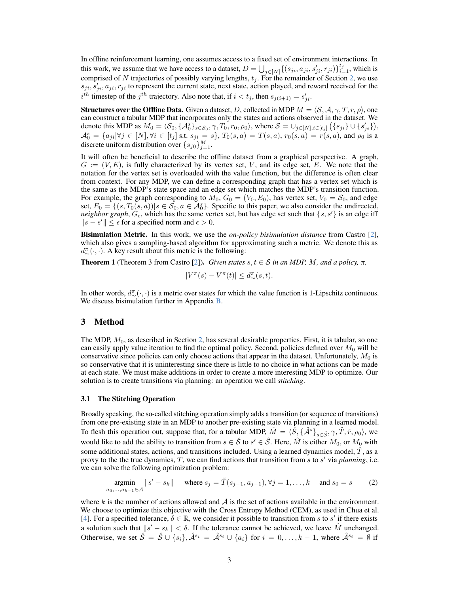In offline reinforcement learning, one assumes access to a fixed set of environment interactions. In this work, we assume that we have access to a dataset,  $D = \bigcup_{j \in [N]} \{(s_{ji}, a_{ji}, s'_{ji}, r_{ji})\}_{i=1}^{t_j}$ , which is comprised of N trajectories of possibly varying lengths,  $t_j$ . For the remainder of Section [2,](#page-1-0) we use  $s_{ji}, s'_{ji}, a_{ji}, r_{ji}$  to represent the current state, next state, action played, and reward received for the  $i^{th}$  timestep of the  $j^{th}$  trajectory. Also note that, if  $i < t_j$ , then  $s_{j(i+1)} = s'_{ji}$ .

**Structures over the Offline Data.** Given a dataset, D, collected in MDP  $M = \langle S, A, \gamma, T, r, \rho \rangle$ , one can construct a tabular MDP that incorporates only the states and actions observed in the dataset. We denote this MDP as  $M_0 = \langle S_0, \{\mathcal{A}_0^s\}_{s \in \mathcal{S}_0}, \gamma, T_0, r_0, \rho_0 \rangle$ , where  $\mathcal{S} = \cup_{j \in [N], i \in [t_j]} (\{s_{ji}\} \cup \{s'_{ji}\}),$  $\mathcal{A}_0^s = \{a_{ji} | \forall j \in [N], \forall i \in [t_j] \text{ s.t. } s_{ji} = s\}, T_0(s, a) = T(s, a), r_0(s, a) = r(s, a), \text{ and } \rho_0 \text{ is a }$ discrete uniform distribution over  $\{s_{j0}\}_{j=1}^M$ .

It will often be beneficial to describe the offline dataset from a graphical perspective. A graph,  $G := (V, E)$ , is fully characterized by its vertex set, V, and its edge set, E. We note that the notation for the vertex set is overloaded with the value function, but the difference is often clear from context. For any MDP, we can define a corresponding graph that has a vertex set which is the same as the MDP's state space and an edge set which matches the MDP's transition function. For example, the graph corresponding to  $M_0$ ,  $G_0 = (V_0, E_0)$ , has vertex set,  $V_0 = S_0$ , and edge set,  $E_0 = \{(s, T_0(s, a)) | s \in S_0, a \in A_0^s\}$ . Specific to this paper, we also consider the undirected, *neighbor graph*,  $G_{\epsilon}$ , which has the same vertex set, but has edge set such that {s, s'} is an edge iff  $||s - s'|| \leq \epsilon$  for a specified norm and  $\epsilon > 0$ .

Bisimulation Metric. In this work, we use the *on-policy bisimulation distance* from Castro [\[2\]](#page-9-9), which also gives a sampling-based algorithm for approximating such a metric. We denote this as  $d^{\pi}_{\sim}(\cdot,\cdot)$ . A key result about this metric is the following:

<span id="page-2-0"></span>**Theorem 1** (Theorem 3 from Castro [\[2\]](#page-9-9)). *Given states*  $s, t \in S$  *in an MDP, M, and a policy,*  $\pi$ *,* 

$$
|V^{\pi}(s) - V^{\pi}(t)| \le d^{\pi}_{\sim}(s, t).
$$

In other words,  $d^{\pi}_{\sim}(\cdot,\cdot)$  is a metric over states for which the value function is 1-Lipschitz continuous. We discuss bisimulation further in Appendix **B**.

### 3 Method

The MDP,  $M_0$ , as described in Section [2,](#page-1-0) has several desirable properties. First, it is tabular, so one can easily apply value iteration to find the optimal policy. Second, policies defined over  $M_0$  will be conservative since policies can only choose actions that appear in the dataset. Unfortunately,  $M_0$  is so conservative that it is uninteresting since there is little to no choice in what actions can be made at each state. We must make additions in order to create a more interesting MDP to optimize. Our solution is to create transitions via planning: an operation we call *stitching*.

#### 3.1 The Stitching Operation

Broadly speaking, the so-called stitching operation simply adds a transition (or sequence of transitions) from one pre-existing state in an MDP to another pre-existing state via planning in a learned model. To flesh this operation out, suppose that, for a tabular MDP,  $\hat{M} = \langle \hat{S}, {\{\hat{A}^s\}}_{s \in \hat{S}}, \gamma, \hat{T}, \hat{r}, \rho_0 \rangle$ , we would like to add the ability to transition from  $s \in \hat{S}$  to  $s' \in \hat{S}$ . Here,  $\hat{M}$  is either  $M_0$ , or  $M_0$  with some additional states, actions, and transitions included. Using a learned dynamics model,  $T$ , as a proxy to the the true dynamics,  $T$ , we can find actions that transition from  $s$  to  $s'$  via *planning*, i.e. we can solve the following optimization problem:

$$
\underset{a_0, \dots, a_{k-1} \in \mathcal{A}}{\text{argmin}} \|s' - s_k\| \quad \text{ where } s_j = \tilde{T}(s_{j-1}, a_{j-1}), \forall j = 1, \dots, k \quad \text{ and } s_0 = s \tag{2}
$$

where k is the number of actions allowed and  $A$  is the set of actions available in the environment. We choose to optimize this objective with the Cross Entropy Method (CEM), as used in Chua et al. [\[4\]](#page-9-3). For a specified tolerance,  $\delta \in \mathbb{R}$ , we consider it possible to transition from s to s' if there exists a solution such that  $||s' - s_k|| < \delta$ . If the tolerance cannot be achieved, we leave  $\hat{M}$  unchanged. Otherwise, we set  $\hat{S} = \hat{S} \cup \{s_i\}, \hat{A}^{s_i} = \hat{A}^{s_i} \cup \{a_i\}$  for  $i = 0, \ldots, k-1$ , where  $\hat{A}^{s_i} = \emptyset$  if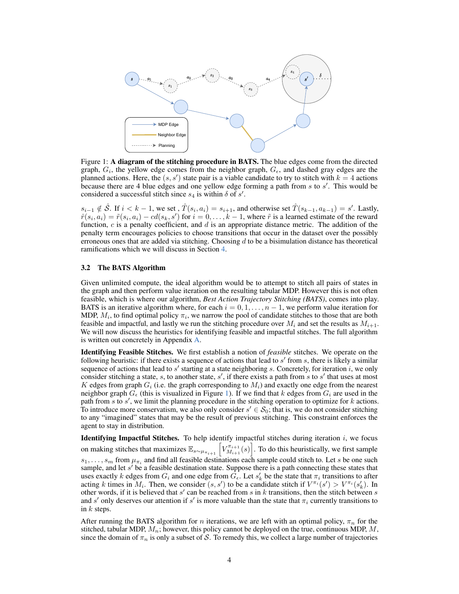<span id="page-3-0"></span>

Figure 1: A diagram of the stitching procedure in BATS. The blue edges come from the directed graph,  $G_i$ , the yellow edge comes from the neighbor graph,  $G_{\epsilon}$ , and dashed gray edges are the planned actions. Here, the  $(s, s')$  state pair is a viable candidate to try to stitch with  $k = 4$  actions because there are 4 blue edges and one yellow edge forming a path from  $s$  to  $s'$ . This would be considered a successful stitch since  $s_4$  is within  $\delta$  of  $s'$ .

 $s_{i-1} \notin \hat{\mathcal{S}}$ . If  $i < k-1$ , we set,  $\hat{T}(s_i, a_i) = s_{i+1}$ , and otherwise set  $\hat{T}(s_{k-1}, a_{k-1}) = s'$ . Lastly,  $\hat{r}(s_i, a_i) = \tilde{r}(s_i, a_i) - cd(s_k, s')$  for  $i = 0, \ldots, k - 1$ , where  $\tilde{r}$  is a learned estimate of the reward function,  $c$  is a penalty coefficient, and  $d$  is an appropriate distance metric. The addition of the penalty term encourages policies to choose transitions that occur in the dataset over the possibly erroneous ones that are added via stitching. Choosing  $d$  to be a bisimulation distance has theoretical ramifications which we will discuss in Section [4.](#page-4-0)

#### 3.2 The BATS Algorithm

Given unlimited compute, the ideal algorithm would be to attempt to stitch all pairs of states in the graph and then perform value iteration on the resulting tabular MDP. However this is not often feasible, which is where our algorithm, *Best Action Trajectory Stitching (BATS)*, comes into play. BATS is an iterative algorithm where, for each  $i = 0, 1, \ldots, n - 1$ , we perform value iteration for MDP,  $M_i$ , to find optimal policy  $\pi_i$ , we narrow the pool of candidate stitches to those that are both feasible and impactful, and lastly we run the stitching procedure over  $M_i$  and set the results as  $M_{i+1}$ . We will now discuss the heuristics for identifying feasible and impactful stitches. The full algorithm is written out concretely in Appendix [A.](#page-11-0)

Identifying Feasible Stitches. We first establish a notion of *feasible* stitches. We operate on the following heuristic: if there exists a sequence of actions that lead to  $s'$  from  $s$ , there is likely a similar sequence of actions that lead to  $s'$  starting at a state neighboring s. Concretely, for iteration i, we only consider stitching a state, s, to another state, s', if there exists a path from s to s' that uses at most K edges from graph  $G_i$  (i.e. the graph corresponding to  $M_i$ ) and exactly one edge from the nearest neighbor graph  $G_{\epsilon}$  (this is visualized in Figure [1\)](#page-3-0). If we find that k edges from  $G_i$  are used in the path from  $s$  to  $s'$ , we limit the planning procedure in the stitching operation to optimize for  $k$  actions. To introduce more conservatism, we also only consider  $s' \in S_0$ ; that is, we do not consider stitching to any "imagined" states that may be the result of previous stitching. This constraint enforces the agent to stay in distribution.

Identifying Impactful Stitches. To help identify impactful stitches during iteration  $i$ , we focus on making stitches that maximizes  $\mathbb{E}_{s \sim \mu_{\pi_{i+1}}} \left[ V_{M_{i+1}}^{\pi_{i+1}} \right]$  $\left[\frac{\pi_{i+1}}{M_{i+1}}(s)\right]$ . To do this heuristically, we first sample  $s_1, \ldots, s_m$  from  $\mu_{\pi_i}$  and find all feasible destinations each sample could stitch to. Let s be one such sample, and let  $s'$  be a feasible destination state. Suppose there is a path connecting these states that uses exactly k edges from  $G_i$  and one edge from  $G_{\epsilon}$ . Let  $s'_k$  be the state that  $\pi_i$  transitions to after acting k times in  $M_i$ . Then, we consider  $(s, s')$  to be a candidate stitch if  $V^{\pi_i}(s') > V^{\pi_i}(s'_k)$ . In other words, if it is believed that  $s'$  can be reached from  $s$  in  $k$  transitions, then the stitch between  $s$ and s' only deserves our attention if s' is more valuable than the state that  $\pi_i$  currently transitions to in  $k$  steps.

After running the BATS algorithm for n iterations, we are left with an optimal policy,  $\pi_n$  for the stitched, tabular MDP,  $M_n$ ; however, this policy cannot be deployed on the true, continuous MDP,  $M$ , since the domain of  $\pi_n$  is only a subset of S. To remedy this, we collect a large number of trajectories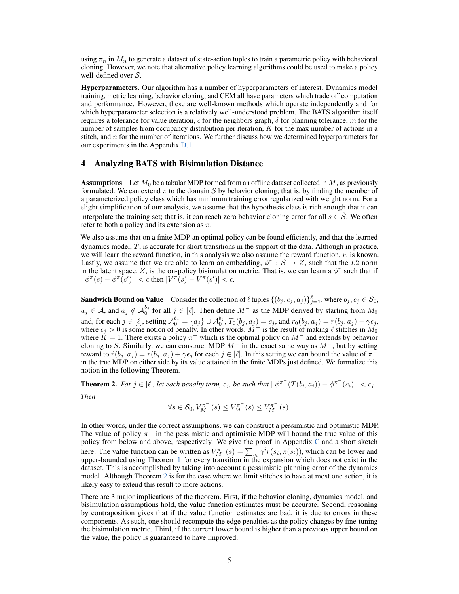using  $\pi_n$  in  $M_n$  to generate a dataset of state-action tuples to train a parametric policy with behavioral cloning. However, we note that alternative policy learning algorithms could be used to make a policy well-defined over  $S$ .

Hyperparameters. Our algorithm has a number of hyperparameters of interest. Dynamics model training, metric learning, behavior cloning, and CEM all have parameters which trade off computation and performance. However, these are well-known methods which operate independently and for which hyperparameter selection is a relatively well-understood problem. The BATS algorithm itself requires a tolerance for value iteration,  $\epsilon$  for the neighbors graph,  $\delta$  for planning tolerance, m for the number of samples from occupancy distribution per iteration,  $K$  for the max number of actions in a stitch, and  $n$  for the number of iterations. We further discuss how we determined hyperparameters for our experiments in the Appendix [D.1.](#page-14-0)

### <span id="page-4-0"></span>4 Analyzing BATS with Bisimulation Distance

**Assumptions** Let  $M_0$  be a tabular MDP formed from an offline dataset collected in  $M$ , as previously formulated. We can extend  $\pi$  to the domain S by behavior cloning; that is, by finding the member of a parameterized policy class which has minimum training error regularized with weight norm. For a slight simplification of our analysis, we assume that the hypothesis class is rich enough that it can interpolate the training set; that is, it can reach zero behavior cloning error for all  $s \in \hat{S}$ . We often refer to both a policy and its extension as  $\pi$ .

We also assume that on a finite MDP an optimal policy can be found efficiently, and that the learned dynamics model,  $\hat{T}$ , is accurate for short transitions in the support of the data. Although in practice, we will learn the reward function, in this analysis we also assume the reward function,  $r$ , is known. Lastly, we assume that we are able to learn an embedding,  $\phi^{\pi}$  :  $\mathcal{S} \to \mathcal{Z}$ , such that the L2 norm in the latent space, Z, is the on-policy bisimulation metric. That is, we can learn a  $\phi^{\pi}$  such that if  $||\phi^{\pi}(s) - \phi^{\pi}(s')|| < \epsilon$  then  $|V^{\pi}(s) - V^{\pi}(s')| < \epsilon$ .

**Sandwich Bound on Value** Consider the collection of  $\ell$  tuples  $\{(b_j, c_j, a_j)\}_{j=1}^{\ell}$ , where  $b_j, c_j \in S_0$ ,  $a_j \in \mathcal{A}$ , and  $a_j \notin \mathcal{A}_0^{b_j}$  for all  $j \in [\ell]$ . Then define  $M^-$  as the MDP derived by starting from  $M_0$ and, for each  $j\in [\ell],$  setting  $\mathcal{A}_0^{b_j}=\{a_j\}\cup \mathcal{A}_0^{b_j},$   $T_0(b_j,a_j)=c_j,$  and  $r_0(b_j,a_j)=r(b_j,a_j)-\gamma\epsilon_j,$ where  $\epsilon_j > 0$  is some notion of penalty. In other words,  $\dot{M}^-$  is the result of making  $\ell$  stitches in  $\dot{M_0}$ where  $\check{K} = 1$ . There exists a policy  $\pi^{-}$  which is the optimal policy on  $M^{-}$  and extends by behavior cloning to S. Similarly, we can construct MDP  $M^+$  in the exact same way as  $M^-$ , but by setting reward to  $\hat{r}(b_j, a_j) = r(b_j, a_j) + \gamma \epsilon_j$  for each  $j \in [\ell]$ . In this setting we can bound the value of  $\pi$ <sup>-</sup> in the true MDP on either side by its value attained in the finite MDPs just defined. We formalize this notion in the following Theorem.

<span id="page-4-1"></span>**Theorem 2.** For  $j \in [\ell]$ , let each penalty term,  $\epsilon_j$ , be such that  $||\phi^{\pi^-}(T(b_i, a_i)) - \phi^{\pi^-}(c_i)|| < \epsilon_j$ .

*Then*

$$
\forall s \in \mathcal{S}_0, V_{M^-}^{\pi^-}(s) \leq V_M^{\pi^-}(s) \leq V_{M^+}^{\pi^-}(s).
$$

In other words, under the correct assumptions, we can construct a pessimistic and optimistic MDP. The value of policy  $\pi^-$  in the pessimistic and optimistic MDP will bound the true value of this policy from below and above, respectively. We give the proof in Appendix [C](#page-13-1) and a short sketch here: The value function can be written as  $V_M^{\pi^-}(s) = \sum_{s_i} \gamma^i r(s_i, \pi(s_i))$ , which can be lower and upper-bounded using Theorem [1](#page-2-0) for every transition in the expansion which does not exist in the dataset. This is accomplished by taking into account a pessimistic planning error of the dynamics model. Although Theorem [2](#page-4-1) is for the case where we limit stitches to have at most one action, it is likely easy to extend this result to more actions.

There are 3 major implications of the theorem. First, if the behavior cloning, dynamics model, and bisimulation assumptions hold, the value function estimates must be accurate. Second, reasoning by contraposition gives that if the value function estimates are bad, it is due to errors in these components. As such, one should recompute the edge penalties as the policy changes by fine-tuning the bisimulation metric. Third, if the current lower bound is higher than a previous upper bound on the value, the policy is guaranteed to have improved.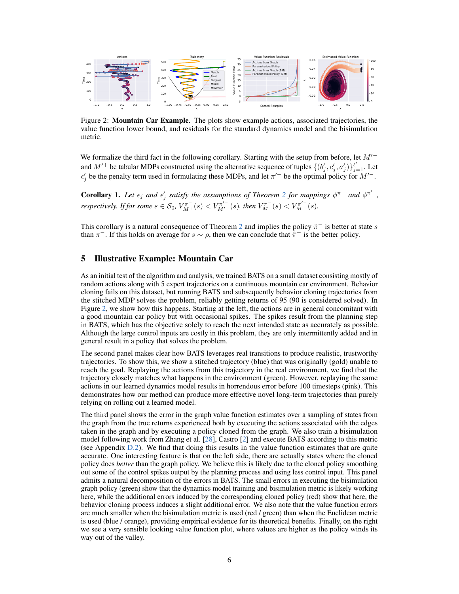<span id="page-5-0"></span>

Figure 2: Mountain Car Example. The plots show example actions, associated trajectories, the value function lower bound, and residuals for the standard dynamics model and the bisimulation metric.

We formalize the third fact in the following corollary. Starting with the setup from before, let  $M^{\prime -}$ and  $M'^+$  be tabular MDPs constructed using the alternative sequence of tuples  $\{(b'_j, c'_j, a'_j)\}_{j=1}^{\ell'}$ . Let  $\epsilon'_{j}$  be the penalty term used in formulating these MDPs, and let  $\pi'^{-}$  be the optimal policy for  $M'^{-}$ .

**Corollary 1.** Let  $\epsilon_j$  and  $\epsilon'_j$  satisfy the assumptions of Theorem [2](#page-4-1) for mappings  $\phi^{\pi^-}$  and  $\phi^{\pi'^-}$ , *respectively. If for some*  $s \in S_0$ ,  $V_{M^+}^{\pi^-}(s) < V_{M'^-}^{\pi'^-}(s)$ , then  $V_M^{\pi^-}(s) < V_M^{\pi'^-}(s)$ .

This corollary is a natural consequence of Theorem [2](#page-4-1) and implies the policy  $\hat{\pi}^-$  is better at state s than  $\pi^-$ . If this holds on average for  $s \sim \rho$ , then we can conclude that  $\hat{\pi}^-$  is the better policy.

# 5 Illustrative Example: Mountain Car

As an initial test of the algorithm and analysis, we trained BATS on a small dataset consisting mostly of random actions along with 5 expert trajectories on a continuous mountain car environment. Behavior cloning fails on this dataset, but running BATS and subsequently behavior cloning trajectories from the stitched MDP solves the problem, reliably getting returns of 95 (90 is considered solved). In Figure [2,](#page-5-0) we show how this happens. Starting at the left, the actions are in general concomitant with a good mountain car policy but with occasional spikes. The spikes result from the planning step in BATS, which has the objective solely to reach the next intended state as accurately as possible. Although the large control inputs are costly in this problem, they are only intermittently added and in general result in a policy that solves the problem.

The second panel makes clear how BATS leverages real transitions to produce realistic, trustworthy trajectories. To show this, we show a stitched trajectory (blue) that was originally (gold) unable to reach the goal. Replaying the actions from this trajectory in the real environment, we find that the trajectory closely matches what happens in the environment (green). However, replaying the same actions in our learned dynamics model results in horrendous error before 100 timesteps (pink). This demonstrates how our method can produce more effective novel long-term trajectories than purely relying on rolling out a learned model.

The third panel shows the error in the graph value function estimates over a sampling of states from the graph from the true returns experienced both by executing the actions associated with the edges taken in the graph and by executing a policy cloned from the graph. We also train a bisimulation model following work from Zhang et al. [\[28\]](#page-10-3), Castro [\[2\]](#page-9-9) and execute BATS according to this metric (see Appendix [D.2\)](#page-15-0). We find that doing this results in the value function estimates that are quite accurate. One interesting feature is that on the left side, there are actually states where the cloned policy does *better* than the graph policy. We believe this is likely due to the cloned policy smoothing out some of the control spikes output by the planning process and using less control input. This panel admits a natural decomposition of the errors in BATS. The small errors in executing the bisimulation graph policy (green) show that the dynamics model training and bisimulation metric is likely working here, while the additional errors induced by the corresponding cloned policy (red) show that here, the behavior cloning process induces a slight additional error. We also note that the value function errors are much smaller when the bisimulation metric is used (red / green) than when the Euclidean metric is used (blue / orange), providing empirical evidence for its theoretical benefits. Finally, on the right we see a very sensible looking value function plot, where values are higher as the policy winds its way out of the valley.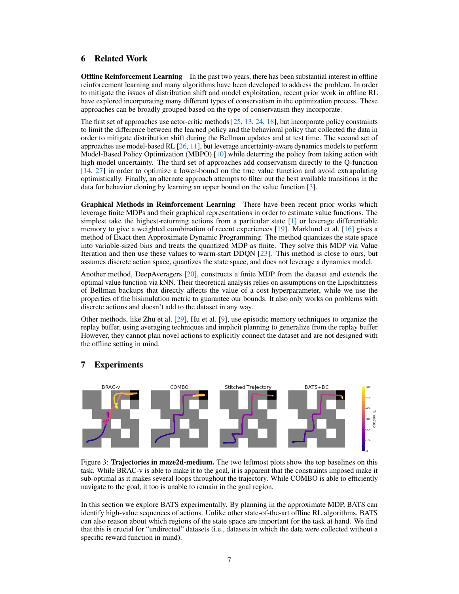### 6 Related Work

**Offline Reinforcement Learning** In the past two years, there has been substantial interest in offline reinforcement learning and many algorithms have been developed to address the problem. In order to mitigate the issues of distribution shift and model exploitation, recent prior work in offline RL have explored incorporating many different types of conservatism in the optimization process. These approaches can be broadly grouped based on the type of conservatism they incorporate.

The first set of approaches use actor-critic methods [\[25,](#page-10-0) [13,](#page-9-6) [24,](#page-10-4) [18\]](#page-9-10), but incorporate policy constraints to limit the difference between the learned policy and the behavioral policy that collected the data in order to mitigate distribution shift during the Bellman updates and at test time. The second set of approaches use model-based RL [\[26,](#page-10-1) [11\]](#page-9-7), but leverage uncertainty-aware dynamics models to perform Model-Based Policy Optimization (MBPO) [\[10\]](#page-9-4) while deterring the policy from taking action with high model uncertainty. The third set of approaches add conservatism directly to the Q-function [\[14,](#page-9-8) [27\]](#page-10-2) in order to optimize a lower-bound on the true value function and avoid extrapolating optimistically. Finally, an alternate approach attempts to filter out the best available transitions in the data for behavior cloning by learning an upper bound on the value function [\[3\]](#page-9-11).

Graphical Methods in Reinforcement Learning There have been recent prior works which leverage finite MDPs and their graphical representations in order to estimate value functions. The simplest take the highest-returning actions from a particular state [\[1\]](#page-9-12) or leverage differentiable memory to give a weighted combination of recent experiences [\[19\]](#page-9-13). Marklund et al. [\[16\]](#page-9-14) gives a method of Exact then Approximate Dynamic Programming. The method quantizes the state space into variable-sized bins and treats the quantized MDP as finite. They solve this MDP via Value Iteration and then use these values to warm-start DDQN [\[23\]](#page-10-5). This method is close to ours, but assumes discrete action space, quantizes the state space, and does not leverage a dynamics model.

Another method, DeepAveragers [\[20\]](#page-9-15), constructs a finite MDP from the dataset and extends the optimal value function via kNN. Their theoretical analysis relies on assumptions on the Lipschitzness of Bellman backups that directly affects the value of a cost hyperparameter, while we use the properties of the bisimulation metric to guarantee our bounds. It also only works on problems with discrete actions and doesn't add to the dataset in any way.

Other methods, like Zhu et al. [\[29\]](#page-10-6), Hu et al. [\[9\]](#page-9-16), use episodic memory techniques to organize the replay buffer, using averaging techniques and implicit planning to generalize from the replay buffer. However, they cannot plan novel actions to explicitly connect the dataset and are not designed with the offline setting in mind.

<span id="page-6-0"></span>

### <span id="page-6-1"></span>7 Experiments

Figure 3: Trajectories in maze2d-medium. The two leftmost plots show the top baselines on this task. While BRAC-v is able to make it to the goal, it is apparent that the constraints imposed make it sub-optimal as it makes several loops throughout the trajectory. While COMBO is able to efficiently navigate to the goal, it too is unable to remain in the goal region.

In this section we explore BATS experimentally. By planning in the approximate MDP, BATS can identify high-value sequences of actions. Unlike other state-of-the-art offline RL algorithms, BATS can also reason about which regions of the state space are important for the task at hand. We find that this is crucial for "undirected" datasets (i.e., datasets in which the data were collected without a specific reward function in mind).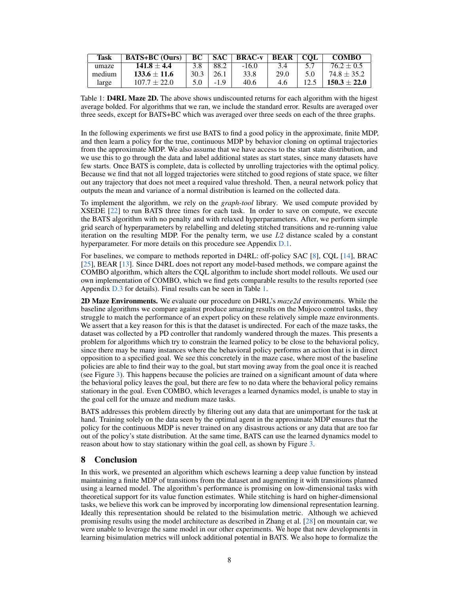<span id="page-7-0"></span>

| Task   | <b>BATS+BC</b> (Ours) | BC   | <b>SAC</b> | <b>BRAC-v</b> | <b>BEAR</b> | $\perp$ COL | <b>COMBO</b>     |
|--------|-----------------------|------|------------|---------------|-------------|-------------|------------------|
| umaze  | $141.8 \pm 4.4$       |      | 88.2       | $-16.0$       | 3.4         |             | $76.2 \pm 0.5$   |
| medium | $133.6 \pm 11.6$      | 30.3 | 26.1       | 33.8          | 29.0        |             | $74.8 \pm 35.2$  |
| large  | $107.7 \pm 22.0$      |      |            | 40.6          | 4.6         |             | $150.3 \pm 22.0$ |

Table 1: **D4RL Maze 2D.** The above shows undiscounted returns for each algorithm with the higest average bolded. For algorithms that we ran, we include the standard error. Results are averaged over three seeds, except for BATS+BC which was averaged over three seeds on each of the three graphs.

In the following experiments we first use BATS to find a good policy in the approximate, finite MDP, and then learn a policy for the true, continuous MDP by behavior cloning on optimal trajectories from the approximate MDP. We also assume that we have access to the start state distribution, and we use this to go through the data and label additional states as start states, since many datasets have few starts. Once BATS is complete, data is collected by unrolling trajectories with the optimal policy. Because we find that not all logged trajectories were stitched to good regions of state space, we filter out any trajectory that does not meet a required value threshold. Then, a neural network policy that outputs the mean and variance of a normal distribution is learned on the collected data.

To implement the algorithm, we rely on the *graph-tool* library. We used compute provided by XSEDE [\[22\]](#page-10-7) to run BATS three times for each task. In order to save on compute, we execute the BATS algorithm with no penalty and with relaxed hyperparameters. After, we perform simple grid search of hyperparameters by relabelling and deleting stitched transitions and re-running value iteration on the resulting MDP. For the penalty term, we use  $L2$  distance scaled by a constant hyperparameter. For more details on this procedure see Appendix [D.1.](#page-14-0)

For baselines, we compare to methods reported in D4RL: off-policy SAC [\[8\]](#page-9-17), CQL [\[14\]](#page-9-8), BRAC [\[25\]](#page-10-0), BEAR [\[13\]](#page-9-6). Since D4RL does not report any model-based methods, we compare against the COMBO algorithm, which alters the CQL algorithm to include short model rollouts. We used our own implementation of COMBO, which we find gets comparable results to the results reported (see Appendix [D.3](#page-16-0) for details). Final results can be seen in Table [1.](#page-7-0)

2D Maze Environments. We evaluate our procedure on D4RL's *maze2d* environments. While the baseline algorithms we compare against produce amazing results on the Mujoco control tasks, they struggle to match the performance of an expert policy on these relatively simple maze environments. We assert that a key reason for this is that the dataset is undirected. For each of the maze tasks, the dataset was collected by a PD controller that randomly wandered through the mazes. This presents a problem for algorithms which try to constrain the learned policy to be close to the behavioral policy, since there may be many instances where the behavioral policy performs an action that is in direct opposition to a specified goal. We see this concretely in the maze case, where most of the baseline policies are able to find their way to the goal, but start moving away from the goal once it is reached (see Figure [3\)](#page-6-0). This happens because the policies are trained on a significant amount of data where the behavioral policy leaves the goal, but there are few to no data where the behavioral policy remains stationary in the goal. Even COMBO, which leverages a learned dynamics model, is unable to stay in the goal cell for the umaze and medium maze tasks.

BATS addresses this problem directly by filtering out any data that are unimportant for the task at hand. Training solely on the data seen by the optimal agent in the approximate MDP ensures that the policy for the continuous MDP is never trained on any disastrous actions or any data that are too far out of the policy's state distribution. At the same time, BATS can use the learned dynamics model to reason about how to stay stationary within the goal cell, as shown by Figure [3.](#page-6-0)

# 8 Conclusion

In this work, we presented an algorithm which eschews learning a deep value function by instead maintaining a finite MDP of transitions from the dataset and augmenting it with transitions planned using a learned model. The algorithm's performance is promising on low-dimensional tasks with theoretical support for its value function estimates. While stitching is hard on higher-dimensional tasks, we believe this work can be improved by incorporating low dimensional representation learning. Ideally this representation should be related to the bisimulation metric. Although we achieved promising results using the model architecture as described in Zhang et al. [\[28\]](#page-10-3) on mountain car, we were unable to leverage the same model in our other experiments. We hope that new developments in learning bisimulation metrics will unlock additional potential in BATS. We also hope to formalize the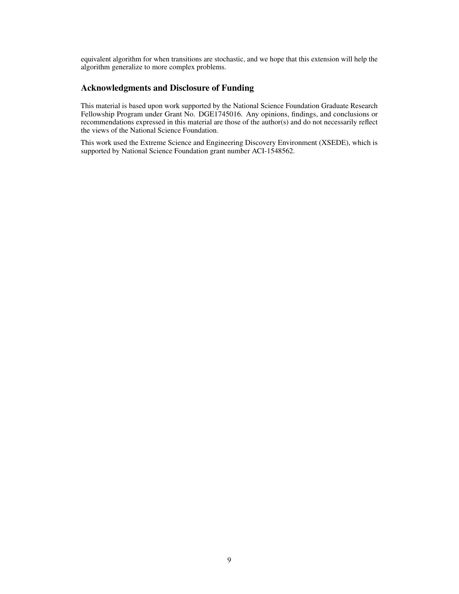equivalent algorithm for when transitions are stochastic, and we hope that this extension will help the algorithm generalize to more complex problems.

# Acknowledgments and Disclosure of Funding

This material is based upon work supported by the National Science Foundation Graduate Research Fellowship Program under Grant No. DGE1745016. Any opinions, findings, and conclusions or recommendations expressed in this material are those of the author(s) and do not necessarily reflect the views of the National Science Foundation.

This work used the Extreme Science and Engineering Discovery Environment (XSEDE), which is supported by National Science Foundation grant number ACI-1548562.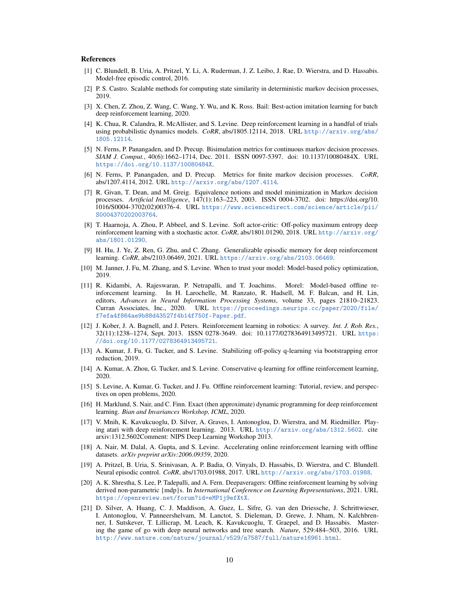#### References

- <span id="page-9-12"></span>[1] C. Blundell, B. Uria, A. Pritzel, Y. Li, A. Ruderman, J. Z. Leibo, J. Rae, D. Wierstra, and D. Hassabis. Model-free episodic control, 2016.
- <span id="page-9-9"></span>[2] P. S. Castro. Scalable methods for computing state similarity in deterministic markov decision processes, 2019.
- <span id="page-9-11"></span>[3] X. Chen, Z. Zhou, Z. Wang, C. Wang, Y. Wu, and K. Ross. Bail: Best-action imitation learning for batch deep reinforcement learning, 2020.
- <span id="page-9-3"></span>[4] K. Chua, R. Calandra, R. McAllister, and S. Levine. Deep reinforcement learning in a handful of trials using probabilistic dynamics models. *CoRR*, abs/1805.12114, 2018. URL [http://arxiv.org/abs/](http://arxiv.org/abs/1805.12114) [1805.12114](http://arxiv.org/abs/1805.12114).
- <span id="page-9-20"></span>[5] N. Ferns, P. Panangaden, and D. Precup. Bisimulation metrics for continuous markov decision processes. *SIAM J. Comput.*, 40(6):1662–1714, Dec. 2011. ISSN 0097-5397. doi: 10.1137/10080484X. URL <https://doi.org/10.1137/10080484X>.
- <span id="page-9-19"></span>[6] N. Ferns, P. Panangaden, and D. Precup. Metrics for finite markov decision processes. *CoRR*, abs/1207.4114, 2012. URL <http://arxiv.org/abs/1207.4114>.
- <span id="page-9-18"></span>[7] R. Givan, T. Dean, and M. Greig. Equivalence notions and model minimization in Markov decision processes. *Artificial Intelligence*, 147(1):163–223, 2003. ISSN 0004-3702. doi: https://doi.org/10. 1016/S0004-3702(02)00376-4. URL [https://www.sciencedirect.com/science/article/pii/](https://www.sciencedirect.com/science/article/pii/S0004370202003764) [S0004370202003764](https://www.sciencedirect.com/science/article/pii/S0004370202003764).
- <span id="page-9-17"></span>[8] T. Haarnoja, A. Zhou, P. Abbeel, and S. Levine. Soft actor-critic: Off-policy maximum entropy deep reinforcement learning with a stochastic actor. *CoRR*, abs/1801.01290, 2018. URL [http://arxiv.org/](http://arxiv.org/abs/1801.01290) [abs/1801.01290](http://arxiv.org/abs/1801.01290).
- <span id="page-9-16"></span>[9] H. Hu, J. Ye, Z. Ren, G. Zhu, and C. Zhang. Generalizable episodic memory for deep reinforcement learning. *CoRR*, abs/2103.06469, 2021. URL <https://arxiv.org/abs/2103.06469>.
- <span id="page-9-4"></span>[10] M. Janner, J. Fu, M. Zhang, and S. Levine. When to trust your model: Model-based policy optimization, 2019.
- <span id="page-9-7"></span>[11] R. Kidambi, A. Rajeswaran, P. Netrapalli, and T. Joachims. Morel: Model-based offline reinforcement learning. In H. Larochelle, M. Ranzato, R. Hadsell, M. F. Balcan, and H. Lin, editors, *Advances in Neural Information Processing Systems*, volume 33, pages 21810–21823. Curran Associates, Inc., 2020. URL [https://proceedings.neurips.cc/paper/2020/file/](https://proceedings.neurips.cc/paper/2020/file/f7efa4f864ae9b88d43527f4b14f750f-Paper.pdf) [f7efa4f864ae9b88d43527f4b14f750f-Paper.pdf](https://proceedings.neurips.cc/paper/2020/file/f7efa4f864ae9b88d43527f4b14f750f-Paper.pdf).
- <span id="page-9-2"></span>[12] J. Kober, J. A. Bagnell, and J. Peters. Reinforcement learning in robotics: A survey. *Int. J. Rob. Res.*, 32(11):1238–1274, Sept. 2013. ISSN 0278-3649. doi: 10.1177/0278364913495721. URL [https:](https://doi.org/10.1177/0278364913495721) [//doi.org/10.1177/0278364913495721](https://doi.org/10.1177/0278364913495721).
- <span id="page-9-6"></span>[13] A. Kumar, J. Fu, G. Tucker, and S. Levine. Stabilizing off-policy q-learning via bootstrapping error reduction, 2019.
- <span id="page-9-8"></span>[14] A. Kumar, A. Zhou, G. Tucker, and S. Levine. Conservative q-learning for offline reinforcement learning, 2020.
- <span id="page-9-5"></span>[15] S. Levine, A. Kumar, G. Tucker, and J. Fu. Offline reinforcement learning: Tutorial, review, and perspectives on open problems, 2020.
- <span id="page-9-14"></span>[16] H. Marklund, S. Nair, and C. Finn. Exact (then approximate) dynamic programming for deep reinforcement learning. *Bian and Invariances Workshop, ICML*, 2020.
- <span id="page-9-1"></span>[17] V. Mnih, K. Kavukcuoglu, D. Silver, A. Graves, I. Antonoglou, D. Wierstra, and M. Riedmiller. Playing atari with deep reinforcement learning. 2013. URL <http://arxiv.org/abs/1312.5602>. cite arxiv:1312.5602Comment: NIPS Deep Learning Workshop 2013.
- <span id="page-9-10"></span>[18] A. Nair, M. Dalal, A. Gupta, and S. Levine. Accelerating online reinforcement learning with offline datasets. *arXiv preprint arXiv:2006.09359*, 2020.
- <span id="page-9-13"></span>[19] A. Pritzel, B. Uria, S. Srinivasan, A. P. Badia, O. Vinyals, D. Hassabis, D. Wierstra, and C. Blundell. Neural episodic control. *CoRR*, abs/1703.01988, 2017. URL <http://arxiv.org/abs/1703.01988>.
- <span id="page-9-15"></span>[20] A. K. Shrestha, S. Lee, P. Tadepalli, and A. Fern. Deepaveragers: Offline reinforcement learning by solving derived non-parametric {mdp}s. In *International Conference on Learning Representations*, 2021. URL <https://openreview.net/forum?id=eMP1j9efXtX>.
- <span id="page-9-0"></span>[21] D. Silver, A. Huang, C. J. Maddison, A. Guez, L. Sifre, G. van den Driessche, J. Schrittwieser, I. Antonoglou, V. Panneershelvam, M. Lanctot, S. Dieleman, D. Grewe, J. Nham, N. Kalchbrenner, I. Sutskever, T. Lillicrap, M. Leach, K. Kavukcuoglu, T. Graepel, and D. Hassabis. Mastering the game of go with deep neural networks and tree search. *Nature*, 529:484–503, 2016. URL <http://www.nature.com/nature/journal/v529/n7587/full/nature16961.html>.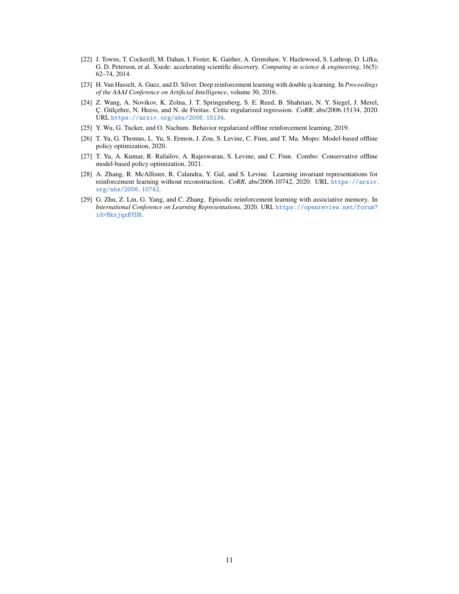- <span id="page-10-7"></span>[22] J. Towns, T. Cockerill, M. Dahan, I. Foster, K. Gaither, A. Grimshaw, V. Hazlewood, S. Lathrop, D. Lifka, G. D. Peterson, et al. Xsede: accelerating scientific discovery. *Computing in science & engineering*, 16(5): 62–74, 2014.
- <span id="page-10-5"></span>[23] H. Van Hasselt, A. Guez, and D. Silver. Deep reinforcement learning with double q-learning. In *Proceedings of the AAAI Conference on Artificial Intelligence*, volume 30, 2016.
- <span id="page-10-4"></span>[24] Z. Wang, A. Novikov, K. Zolna, J. T. Springenberg, S. E. Reed, B. Shahriari, N. Y. Siegel, J. Merel, Ç. Gülçehre, N. Heess, and N. de Freitas. Critic regularized regression. *CoRR*, abs/2006.15134, 2020. URL <https://arxiv.org/abs/2006.15134>.
- <span id="page-10-0"></span>[25] Y. Wu, G. Tucker, and O. Nachum. Behavior regularized offline reinforcement learning, 2019.
- <span id="page-10-1"></span>[26] T. Yu, G. Thomas, L. Yu, S. Ermon, J. Zou, S. Levine, C. Finn, and T. Ma. Mopo: Model-based offline policy optimization, 2020.
- <span id="page-10-2"></span>[27] T. Yu, A. Kumar, R. Rafailov, A. Rajeswaran, S. Levine, and C. Finn. Combo: Conservative offline model-based policy optimization, 2021.
- <span id="page-10-3"></span>[28] A. Zhang, R. McAllister, R. Calandra, Y. Gal, and S. Levine. Learning invariant representations for reinforcement learning without reconstruction. *CoRR*, abs/2006.10742, 2020. URL [https://arxiv.](https://arxiv.org/abs/2006.10742) [org/abs/2006.10742](https://arxiv.org/abs/2006.10742).
- <span id="page-10-6"></span>[29] G. Zhu, Z. Lin, G. Yang, and C. Zhang. Episodic reinforcement learning with associative memory. In *International Conference on Learning Representations*, 2020. URL [https://openreview.net/forum?](https://openreview.net/forum?id=HkxjqxBYDB) [id=HkxjqxBYDB](https://openreview.net/forum?id=HkxjqxBYDB).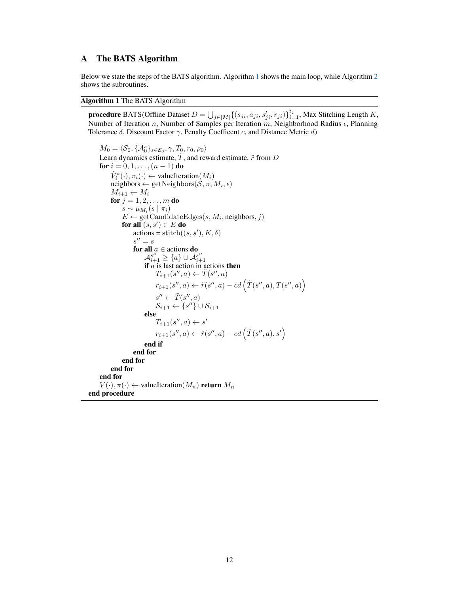# <span id="page-11-0"></span>A The BATS Algorithm

Below we state the steps of the BATS algorithm. Algorithm [1](#page-11-1) shows the main loop, while Algorithm [2](#page-12-0) shows the subroutines.

#### <span id="page-11-1"></span>Algorithm 1 The BATS Algorithm

**procedure** BATS(Offline Dataset  $D = \bigcup_{j \in [M]} \{(s_{ji}, a_{ji}, s'_{ji}, r_{ji})\}_{i=1}^{t_j}$ , Max Stitching Length K, Number of Iteration n, Number of Samples per Iteration m, Neighborhood Radius  $\epsilon$ , Planning Tolerance  $\delta$ , Discount Factor  $\gamma$ , Penalty Coefficent c, and Distance Metric d)

```
M_0 = \langle \mathcal{S}_0, \{\mathcal{A}_0^s\}_{s \in \mathcal{S}_0}, \gamma, T_0, r_0, \rho_0 \rangleLearn dynamics estimate, \tilde{T}, and reward estimate, \tilde{r} from D
      for i = 0, 1, \ldots, (n - 1) do
             \hat{V}_i^*(\cdot), \pi_i(\cdot) \leftarrow \text{valueIteration}(M_i)neighbors \leftarrow getNeighbors(S, \pi, M_i, \epsilon)M_{i+1} \leftarrow M_ifor j = 1, 2, ..., m do
                   s \sim \mu_{M_i}(s \mid \pi_i)E \leftarrow \text{getCandidateEdges}(s, M_i, \text{neighbors}, j)for all (s,s') \in E do
                         \text{actions} = \text{stitch}((s, s'), K, \delta)s'' = sfor all a \in actions do
                               \mathcal{A}_{i+1}^{s''} \geq \{a\} \cup \mathcal{A}_{i+1}^{s''}<br>if a is last action in actions then
                                     T_{i+1}(s'',a) \leftarrow \tilde{T}(s'',a)r_{i+1}(s'',a) \leftarrow \tilde{r}(s'',a) - cd\left(\tilde{T}(s'',a),T(s'',a)\right)s'' \leftarrow \tilde{T}(s'', a)\mathcal{S}_{i+1} \leftarrow \{s''\} \cup \mathcal{S}_{i+1}else
                                     T_{i+1}(s'',a) \leftarrow s'r_{i+1}(s'',a) \leftarrow \tilde{r}(s'',a) - cd\left(\tilde{T}(s'',a),s'\right)end if
                        end for
                  end for
            end for
      end for
      V(\cdot), \pi(\cdot) \leftarrow valueIteration(M_n) return M_nend procedure
```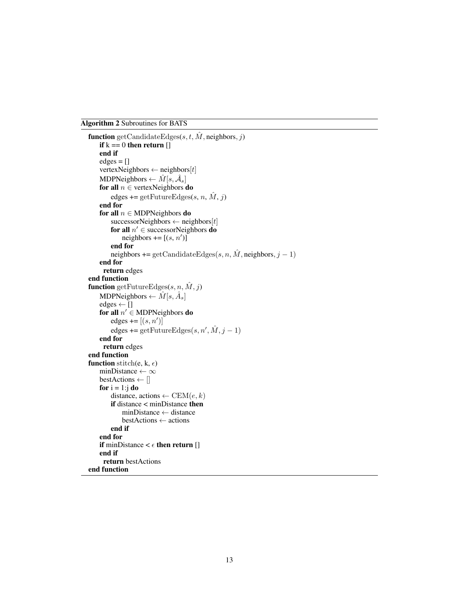<span id="page-12-0"></span>Algorithm 2 Subroutines for BATS

```
function getCandidateEdges(s, t, \hat{M}, neighbors, j)
    if k == 0 then return []end if
    edges = []vertexNeighbors \leftarrow neighbors[t]MDPNeighbors \leftarrow \hat{M}[s,\hat{\mathcal{A}}_s]for all n \in vertexNeighbors do
        edges += getFutureEdges(s, n, \hat{M}, j)
    end for
    for all n \in \text{MDPNeighbors} do
        successorNeighbors \leftarrow neighbors[t]
         for all n' \in successorNeighbors do
             neighbors += [(s, n')]end for
        neighbors += getCandidateEdges(s, n, \hat{M}), neighbors, j - 1)
    end for
     return edges
end function
function getFutureEdges(s, n, \hat{M}, i)
    MDPNeighbors \leftarrow \hat{M}[s, \hat{A}_s]edges \leftarrow \Boxfor all n' \in \text{MDPNeighbors} do
         edges += [(s, n')]edges += getFutureEdges(s, n', \hat{M}, j - 1)end for
     return edges
end function
function stitch(e, k, \epsilon)
    minDistance \leftarrow \inftybestActions \leftarrow []
    for i = 1:j do
        distance, actions \leftarrow CEM(e, k)if distance < minDistance then
            minDistance ← distance
            bestActions ← actions
        end if
    end for
    if minDistance \lt \epsilon then return []
    end if
     return bestActions
end function
```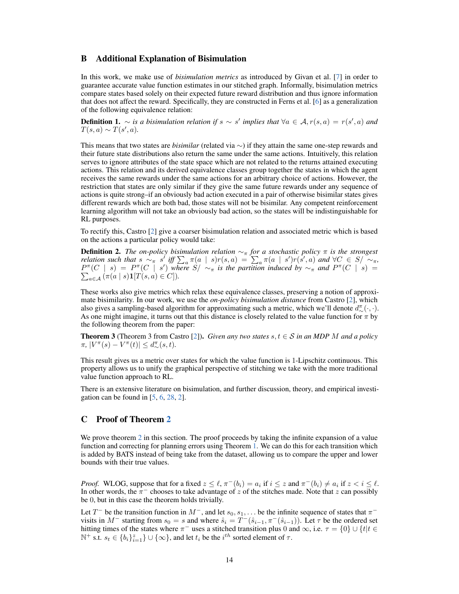### <span id="page-13-0"></span>B Additional Explanation of Bisimulation

In this work, we make use of *bisimulation metrics* as introduced by Givan et al. [\[7\]](#page-9-18) in order to guarantee accurate value function estimates in our stitched graph. Informally, bisimulation metrics compare states based solely on their expected future reward distribution and thus ignore information that does not affect the reward. Specifically, they are constructed in Ferns et al. [\[6\]](#page-9-19) as a generalization of the following equivalence relation:

**Definition 1.** ∼ *is a bisimulation relation if*  $s \sim s'$  *implies that*  $\forall a \in A, r(s, a) = r(s', a)$  *and*  $T(s, a) \sim T(s', a).$ 

This means that two states are *bisimilar* (related via ∼) if they attain the same one-step rewards and their future state distributions also return the same under the same actions. Intuitively, this relation serves to ignore attributes of the state space which are not related to the returns attained executing actions. This relation and its derived equivalence classes group together the states in which the agent receives the same rewards under the same actions for an arbitrary choice of actions. However, the restriction that states are only similar if they give the same future rewards under any sequence of actions is quite strong–if an obviously bad action executed in a pair of otherwise bisimilar states gives different rewards which are both bad, those states will not be bisimilar. Any competent reinforcement learning algorithm will not take an obviously bad action, so the states will be indistinguishable for RL purposes.

To rectify this, Castro [\[2\]](#page-9-9) give a coarser bisimulation relation and associated metric which is based on the actions a particular policy would take:

**Definition 2.** *The on-policy bisimulation relation*  $\sim_\pi$  *for a stochastic policy*  $\pi$  *is the strongest relation such that*  $s \sim_{\pi} s'$  *iff*  $\sum_a \pi(a \mid s) r(s, a) = \sum_a \pi(a \mid s') r(s', a)$  *and*  $\forall C \in S / \sim_{\pi}$ *,*  $P^{\pi}(C \mid s) = P^{\pi}(C \mid s')$  where  $S / \sim_{\pi}$  is the partition induced by  $\sim_{\pi}$  and  $P^{\pi}$  $\sum$  $(C | s) =$  $_{a\in\mathcal{A}}\left(\pi(a\mid s)\mathbf{1}[T(s,a)\in C]\right).$ 

These works also give metrics which relax these equivalence classes, preserving a notion of approximate bisimilarity. In our work, we use the *on-policy bisimulation distance* from Castro [\[2\]](#page-9-9), which also gives a sampling-based algorithm for approximating such a metric, which we'll denote  $d^{\pi}_{\sim}(\cdot,\cdot)$ . As one might imagine, it turns out that this distance is closely related to the value function for  $\pi$  by the following theorem from the paper:

**Theorem 3** (Theorem 3 from Castro [\[2\]](#page-9-9)). *Given any two states*  $s, t \in S$  *in an MDP M and a policy*  $\pi$ ,  $|V^{\pi}(s) - V^{\pi}(t)| \leq d_{\sim}^{\pi}(s, t)$ .

This result gives us a metric over states for which the value function is 1-Lipschitz continuous. This property allows us to unify the graphical perspective of stitching we take with the more traditional value function approach to RL.

There is an extensive literature on bisimulation, and further discussion, theory, and empirical investigation can be found in  $[5, 6, 28, 2]$  $[5, 6, 28, 2]$  $[5, 6, 28, 2]$  $[5, 6, 28, 2]$  $[5, 6, 28, 2]$  $[5, 6, 28, 2]$  $[5, 6, 28, 2]$ .

### <span id="page-13-1"></span>C Proof of Theorem [2](#page-4-1)

We prove theorem [2](#page-4-1) in this section. The proof proceeds by taking the infinite expansion of a value function and correcting for planning errors using Theorem [1.](#page-2-0) We can do this for each transition which is added by BATS instead of being take from the dataset, allowing us to compare the upper and lower bounds with their true values.

*Proof.* WLOG, suppose that for a fixed  $z \leq \ell$ ,  $\pi^{-}(b_i) = a_i$  if  $i \leq z$  and  $\pi^{-}(b_i) \neq a_i$  if  $z < i \leq \ell$ . In other words, the  $\pi^-$  chooses to take advantage of z of the stitches made. Note that z can possibly be 0, but in this case the theorem holds trivially.

Let  $T^-$  be the transition function in  $M^-$ , and let  $s_0, s_1, \ldots$  be the infinite sequence of states that  $\pi^$ visits in  $M^-$  starting from  $s_0 = s$  and where  $\hat{s}_i = T^-(\hat{s}_{i-1}, \pi^-(\hat{s}_{i-1}))$ . Let  $\tau$  be the ordered set hitting times of the states where  $\pi^-$  uses a stitched transition plus 0 and  $\infty$ , i.e.  $\tau = \{0\} \cup \{t | t \in$  $\mathbb{N}^+$  s.t.  $s_t \in \{b_i\}_{i=1}^z\} \cup \{\infty\}$ , and let  $t_i$  be the  $i^{th}$  sorted element of  $\tau$ .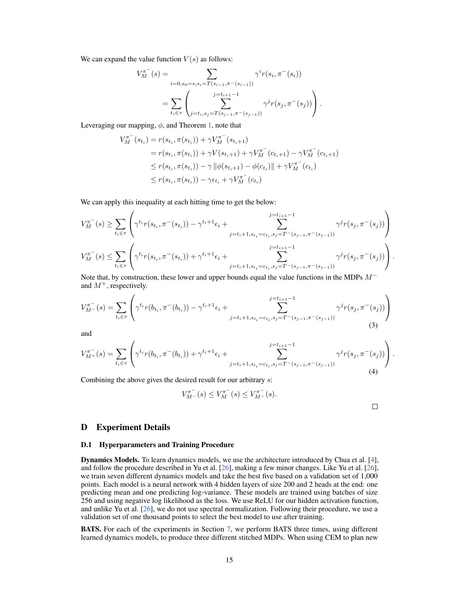We can expand the value function  $V(s)$  as follows:

$$
V_M^{\pi^-}(s) = \sum_{i=0, s_0=s, s_i=T(s_{i-1}, \pi^-(s_{i-1}))} \gamma^i r(s_i, \pi^-(s_i))
$$
  
= 
$$
\sum_{t_i \in \tau} \left( \sum_{j=t_i, s_j=T(s_{j-1}, \pi^-(s_{j-1}))} \gamma^j r(s_j, \pi^-(s_j)) \right).
$$

Leveraging our mapping,  $\phi$ , and Theorem [1,](#page-2-0) note that

$$
V_M^{\pi^-}(s_{t_i}) = r(s_{t_i}, \pi(s_{t_i})) + \gamma V_M^{\pi^-}(s_{t_i+1})
$$
  
=  $r(s_{t_i}, \pi(s_{t_i})) + \gamma V(s_{t_i+1}) + \gamma V_M^{\pi^-}(c_{t_i+1}) - \gamma V_M^{\pi^-}(c_{t_i+1})$   
 $\leq r(s_{t_i}, \pi(s_{t_i})) - \gamma ||\phi(s_{t_i+1}) - \phi(c_{t_i})|| + \gamma V_M^{\pi^-}(c_{t_i})$   
 $\leq r(s_{t_i}, \pi(s_{t_i})) - \gamma \epsilon_{t_i} + \gamma V_M^{\pi^-}(c_{t_i})$ 

We can apply this inequality at each hitting time to get the below:

$$
V_M^{\pi^-}(s) \geq \sum_{t_i \in \tau} \left( \gamma^{t_i} r(s_{t_i}, \pi^-(s_{t_i})) - \gamma^{t_i+1} \epsilon_i + \sum_{j=t_i+1, s_{t_i}=c_{t_i}, s_j=T^-(s_{j-1}, \pi^-(s_{j-1}))}^{j=t_{i+1}-1} \gamma^j r(s_j, \pi^-(s_j)) \right)
$$
  

$$
V_M^{\pi^-}(s) \leq \sum_{t_i \in \tau} \left( \gamma^{t_i} r(s_{t_i}, \pi^-(s_{t_i})) + \gamma^{t_i+1} \epsilon_i + \sum_{j=t_i+1, s_{t_i}=c_{t_i}, s_j=T^-(s_{j-1}, \pi^-(s_{j-1}))}^{j=t_{i+1}-1} \gamma^j r(s_j, \pi^-(s_j)) \right).
$$

Note that, by construction, these lower and upper bounds equal the value functions in the MDPs  $M^$ and  $M^+$ , respectively.

$$
V_{M}^{\pi^{-}}(s) = \sum_{t_i \in \tau} \left( \gamma^{t_i} r(b_{t_i}, \pi^{-}(b_{t_i})) - \gamma^{t_i+1} \epsilon_i + \sum_{j=t_i+1, s_{t_i} = c_{t_i}, s_j = T^{-}(s_{j-1}, \pi^{-}(s_{j-1}))}^{j=t_{i+1}-1} \gamma^j r(s_j, \pi^{-}(s_j)) \right)
$$
\n(3)

and

$$
V_{M^{+}}^{\pi^{-}}(s) = \sum_{t_{i} \in \tau} \left( \gamma^{t_{i}} r(b_{t_{i}}, \pi^{-}(b_{t_{i}})) + \gamma^{t_{i}+1} \epsilon_{i} + \sum_{j=t_{i}+1, s_{t_{i}}=c_{t_{i}}, s_{j}=T^{-(s_{j}-1,\pi^{-}(s_{j}-1))}}^{j=t_{i+1}-1} \gamma^{j} r(s_{j}, \pi^{-}(s_{j})) \right).
$$
\n(4)

Combining the above gives the desired result for our arbitrary s:

$$
V_{M^-}^{\pi^-}(s) \leq V_M^{\pi^-}(s) \leq V_{M^-}^{\pi^-}(s).
$$

 $\Box$ 

### D Experiment Details

#### <span id="page-14-0"></span>D.1 Hyperparameters and Training Procedure

Dynamics Models. To learn dynamics models, we use the architecture introduced by Chua et al. [\[4\]](#page-9-3), and follow the procedure described in Yu et al. [\[26\]](#page-10-1), making a few minor changes. Like Yu et al. [\[26\]](#page-10-1), we train seven different dynamics models and take the best five based on a validation set of 1,000 points. Each model is a neural network with 4 hidden layers of size 200 and 2 heads at the end: one predicting mean and one predicting log-variance. These models are trained using batches of size 256 and using negative log likelihood as the loss. We use ReLU for our hidden activation function, and unlike Yu et al. [\[26\]](#page-10-1), we do not use spectral normalization. Following their procedure, we use a validation set of one thousand points to select the best model to use after training.

BATS. For each of the experiments in Section [7,](#page-6-1) we perform BATS three times, using different learned dynamics models, to produce three different stitched MDPs. When using CEM to plan new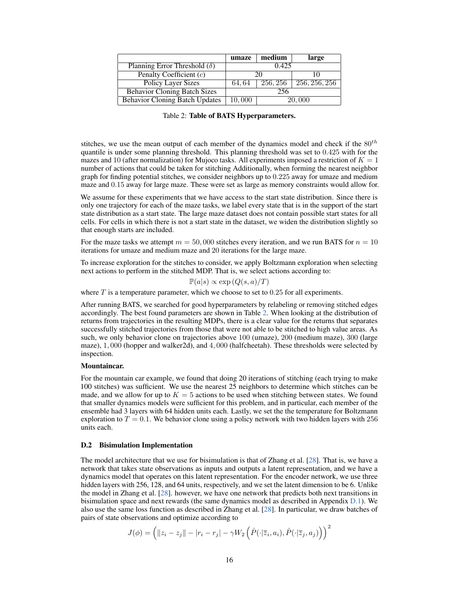<span id="page-15-1"></span>

|                                       | umaze  | medium   | large         |
|---------------------------------------|--------|----------|---------------|
| Planning Error Threshold $(\delta)$   | 0.425  |          |               |
| Penalty Coefficient (c)               | 20     |          |               |
| <b>Policy Layer Sizes</b>             | 64.64  | 256, 256 | 256, 256, 256 |
| <b>Behavior Cloning Batch Sizes</b>   | 256    |          |               |
| <b>Behavior Cloning Batch Updates</b> | 10,000 | 20,000   |               |

|  |  |  |  | Table 2: Table of BATS Hyperparameters. |
|--|--|--|--|-----------------------------------------|
|--|--|--|--|-----------------------------------------|

stitches, we use the mean output of each member of the dynamics model and check if the  $80^{th}$ quantile is under some planning threshold. This planning threshold was set to 0.425 with for the mazes and 10 (after normalization) for Mujoco tasks. All experiments imposed a restriction of  $K = 1$ number of actions that could be taken for stitching Additionally, when forming the nearest neighbor graph for finding potential stitches, we consider neighbors up to 0.225 away for umaze and medium maze and 0.15 away for large maze. These were set as large as memory constraints would allow for.

We assume for these experiments that we have access to the start state distribution. Since there is only one trajectory for each of the maze tasks, we label every state that is in the support of the start state distribution as a start state. The large maze dataset does not contain possible start states for all cells. For cells in which there is not a start state in the dataset, we widen the distribution slightly so that enough starts are included.

For the maze tasks we attempt  $m = 50,000$  stitches every iteration, and we run BATS for  $n = 10$ iterations for umaze and medium maze and 20 iterations for the large maze.

To increase exploration for the stitches to consider, we apply Boltzmann exploration when selecting next actions to perform in the stitched MDP. That is, we select actions according to:

 $\mathbb{P}(a|s) \propto \exp(Q(s,a)/T)$ 

where  $T$  is a temperature parameter, which we choose to set to  $0.25$  for all experiments.

After running BATS, we searched for good hyperparameters by relabeling or removing stitched edges accordingly. The best found parameters are shown in Table [2.](#page-15-1) When looking at the distribution of returns from trajectories in the resulting MDPs, there is a clear value for the returns that separates successfully stitched trajectories from those that were not able to be stitched to high value areas. As such, we only behavior clone on trajectories above 100 (umaze), 200 (medium maze), 300 (large maze), 1, 000 (hopper and walker2d), and 4, 000 (halfcheetah). These thresholds were selected by inspection.

#### Mountaincar.

For the mountain car example, we found that doing 20 iterations of stitching (each trying to make 100 stitches) was sufficient. We use the nearest 25 neighbors to determine which stitches can be made, and we allow for up to  $K = 5$  actions to be used when stitching between states. We found that smaller dynamics models were sufficient for this problem, and in particular, each member of the ensemble had 3 layers with 64 hidden units each. Lastly, we set the the temperature for Boltzmann exploration to  $T = 0.1$ . We behavior clone using a policy network with two hidden layers with 256 units each.

#### <span id="page-15-0"></span>D.2 Bisimulation Implementation

The model architecture that we use for bisimulation is that of Zhang et al. [\[28\]](#page-10-3). That is, we have a network that takes state observations as inputs and outputs a latent representation, and we have a dynamics model that operates on this latent representation. For the encoder network, we use three hidden layers with 256, 128, and 64 units, respectively, and we set the latent dimension to be 6. Unlike the model in Zhang et al. [\[28\]](#page-10-3). however, we have one network that predicts both next transitions in bisimulation space and next rewards (the same dynamics model as described in Appendix [D.1\)](#page-14-0). We also use the same loss function as described in Zhang et al. [\[28\]](#page-10-3). In particular, we draw batches of pairs of state observations and optimize according to

$$
J(\phi) = \left( ||z_i - z_j|| - |r_i - r_j| - \gamma W_2 \left( \hat{P}(\cdot | \overline{z}_i, a_i), \hat{P}(\cdot | \overline{z}_j, a_j) \right) \right)^2
$$